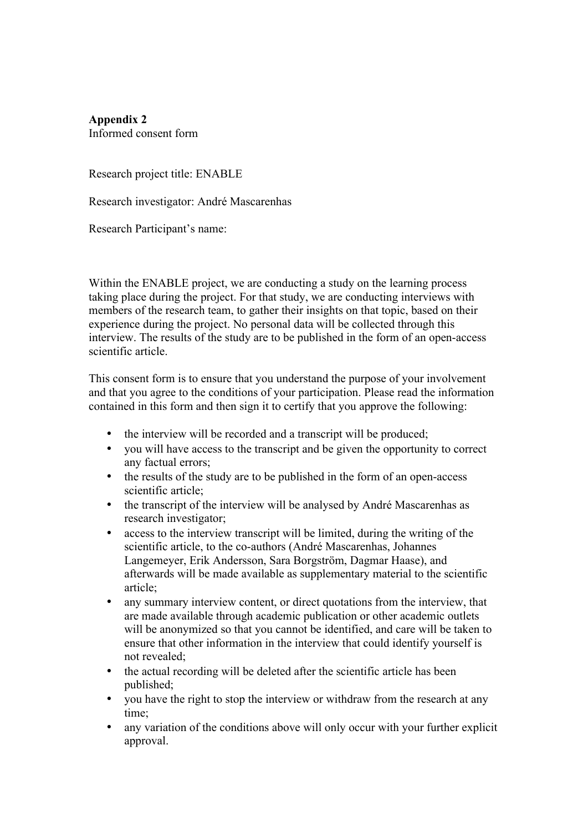**Appendix 2** Informed consent form

Research project title: ENABLE

Research investigator: André Mascarenhas

Research Participant's name:

Within the ENABLE project, we are conducting a study on the learning process taking place during the project. For that study, we are conducting interviews with members of the research team, to gather their insights on that topic, based on their experience during the project. No personal data will be collected through this interview. The results of the study are to be published in the form of an open-access scientific article.

This consent form is to ensure that you understand the purpose of your involvement and that you agree to the conditions of your participation. Please read the information contained in this form and then sign it to certify that you approve the following:

- the interview will be recorded and a transcript will be produced;
- you will have access to the transcript and be given the opportunity to correct any factual errors;
- the results of the study are to be published in the form of an open-access scientific article;
- the transcript of the interview will be analysed by André Mascarenhas as research investigator;
- access to the interview transcript will be limited, during the writing of the scientific article, to the co-authors (André Mascarenhas, Johannes Langemeyer, Erik Andersson, Sara Borgström, Dagmar Haase), and afterwards will be made available as supplementary material to the scientific article;
- any summary interview content, or direct quotations from the interview, that are made available through academic publication or other academic outlets will be anonymized so that you cannot be identified, and care will be taken to ensure that other information in the interview that could identify yourself is not revealed;
- the actual recording will be deleted after the scientific article has been published;
- you have the right to stop the interview or withdraw from the research at any time;
- any variation of the conditions above will only occur with your further explicit approval.